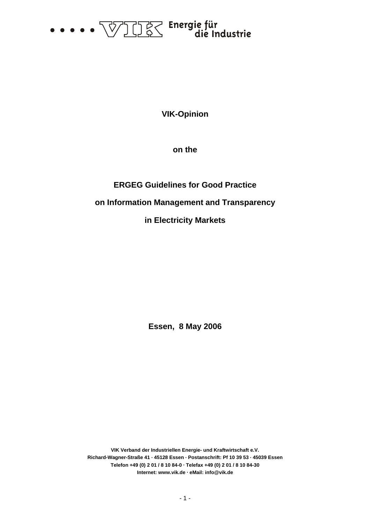

**VIK-Opinion** 

**on the** 

# **ERGEG Guidelines for Good Practice on Information Management and Transparency in Electricity Markets**

**Essen, 8 May 2006** 

**VIK Verband der Industriellen Energie- und Kraftwirtschaft e.V. Richard-Wagner-Straße 41 . 45128 Essen . Postanschrift: Pf 10 39 53 . 45039 Essen Telefon +49 (0) 2 01 / 8 10 84-0 . Telefax +49 (0) 2 01 / 8 10 84-30 Internet: www.vik.de . eMail: info@vik.de**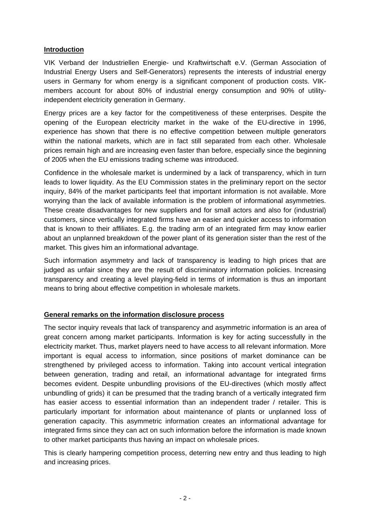## **Introduction**

VIK Verband der Industriellen Energie- und Kraftwirtschaft e.V. (German Association of Industrial Energy Users and Self-Generators) represents the interests of industrial energy users in Germany for whom energy is a significant component of production costs. VIKmembers account for about 80% of industrial energy consumption and 90% of utilityindependent electricity generation in Germany.

Energy prices are a key factor for the competitiveness of these enterprises. Despite the opening of the European electricity market in the wake of the EU-directive in 1996, experience has shown that there is no effective competition between multiple generators within the national markets, which are in fact still separated from each other. Wholesale prices remain high and are increasing even faster than before, especially since the beginning of 2005 when the EU emissions trading scheme was introduced.

Confidence in the wholesale market is undermined by a lack of transparency, which in turn leads to lower liquidity. As the EU Commission states in the preliminary report on the sector inquiry, 84% of the market participants feel that important information is not available. More worrying than the lack of available information is the problem of informational asymmetries. These create disadvantages for new suppliers and for small actors and also for (industrial) customers, since vertically integrated firms have an easier and quicker access to information that is known to their affiliates. E.g. the trading arm of an integrated firm may know earlier about an unplanned breakdown of the power plant of its generation sister than the rest of the market. This gives him an informational advantage.

Such information asymmetry and lack of transparency is leading to high prices that are judged as unfair since they are the result of discriminatory information policies. Increasing transparency and creating a level playing-field in terms of information is thus an important means to bring about effective competition in wholesale markets.

# **General remarks on the information disclosure process**

The sector inquiry reveals that lack of transparency and asymmetric information is an area of great concern among market participants. Information is key for acting successfully in the electricity market. Thus, market players need to have access to all relevant information. More important is equal access to information, since positions of market dominance can be strengthened by privileged access to information. Taking into account vertical integration between generation, trading and retail, an informational advantage for integrated firms becomes evident. Despite unbundling provisions of the EU-directives (which mostly affect unbundling of grids) it can be presumed that the trading branch of a vertically integrated firm has easier access to essential information than an independent trader / retailer. This is particularly important for information about maintenance of plants or unplanned loss of generation capacity. This asymmetric information creates an informational advantage for integrated firms since they can act on such information before the information is made known to other market participants thus having an impact on wholesale prices.

This is clearly hampering competition process, deterring new entry and thus leading to high and increasing prices.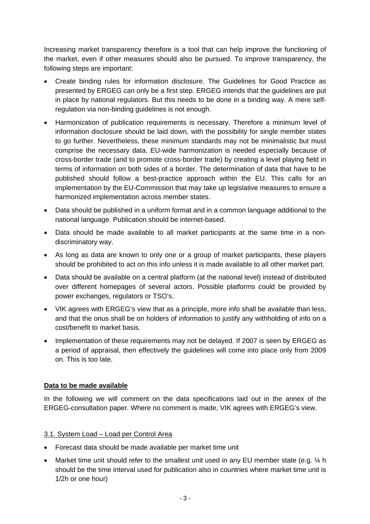Increasing market transparency therefore is a tool that can help improve the functioning of the market, even if other measures should also be pursued. To improve transparency, the following steps are important:

- Create binding rules for information disclosure. The Guidelines for Good Practice as presented by ERGEG can only be a first step. ERGEG intends that the guidelines are put in place by national regulators. But this needs to be done in a binding way. A mere selfregulation via non-binding guidelines is not enough.
- Harmonization of publication requirements is necessary. Therefore a minimum level of information disclosure should be laid down, with the possibility for single member states to go further. Nevertheless, these minimum standards may not be minimalistic but must comprise the necessary data. EU-wide harmonization is needed especially because of cross-border trade (and to promote cross-border trade) by creating a level playing field in terms of information on both sides of a border. The determination of data that have to be published should follow a best-practice approach within the EU. This calls for an implementation by the EU-Commission that may take up legislative measures to ensure a harmonized implementation across member states.
- Data should be published in a uniform format and in a common language additional to the national language. Publication should be internet-based.
- Data should be made available to all market participants at the same time in a nondiscriminatory way.
- As long as data are known to only one or a group of market participants, these players should be prohibited to act on this info unless it is made available to all other market part.
- Data should be available on a central platform (at the national level) instead of distributed over different homepages of several actors. Possible platforms could be provided by power exchanges, regulators or TSO's.
- VIK agrees with ERGEG's view that as a principle, more info shall be available than less, and that the onus shall be on holders of information to justify any withholding of info on a cost/benefit to market basis.
- Implementation of these requirements may not be delayed. If 2007 is seen by ERGEG as a period of appraisal, then effectively the guidelines will come into place only from 2009 on. This is too late.

# **Data to be made available**

In the following we will comment on the data specifications laid out in the annex of the ERGEG-consultation paper. Where no comment is made, VIK agrees with ERGEG's view.

#### 3.1. System Load – Load per Control Area

- Forecast data should be made available per market time unit
- Market time unit should refer to the smallest unit used in any EU member state (e.g.  $\frac{1}{4}$  h should be the time interval used for publication also in countries where market time unit is 1/2h or one hour)